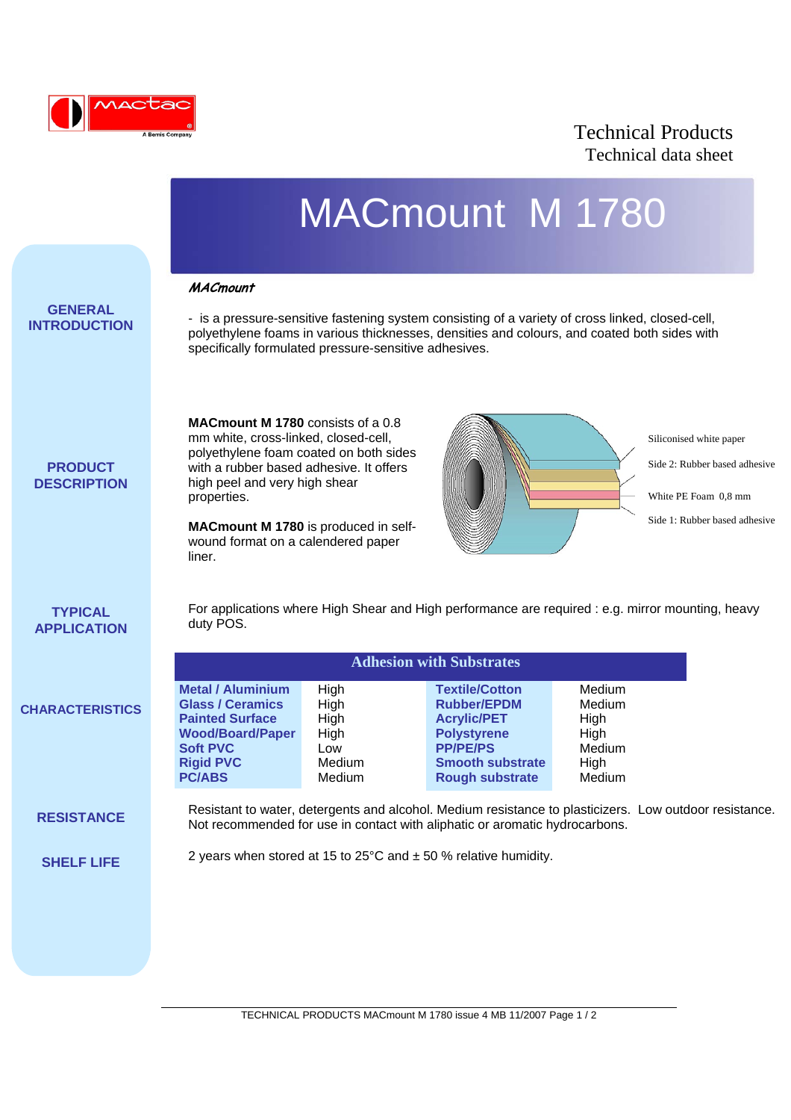

## Technical Products Technical data sheet

|                                       |                                                                                                                                                                                                                                                                                                               |                                                                | <b>MACmount M 1780</b>                                                                                                                                                                             |                                                              |                                                                                                                   |
|---------------------------------------|---------------------------------------------------------------------------------------------------------------------------------------------------------------------------------------------------------------------------------------------------------------------------------------------------------------|----------------------------------------------------------------|----------------------------------------------------------------------------------------------------------------------------------------------------------------------------------------------------|--------------------------------------------------------------|-------------------------------------------------------------------------------------------------------------------|
| <b>GENERAL</b><br><b>INTRODUCTION</b> | <b>MACmount</b><br>- is a pressure-sensitive fastening system consisting of a variety of cross linked, closed-cell,<br>polyethylene foams in various thicknesses, densities and colours, and coated both sides with<br>specifically formulated pressure-sensitive adhesives.                                  |                                                                |                                                                                                                                                                                                    |                                                              |                                                                                                                   |
| <b>PRODUCT</b><br><b>DESCRIPTION</b>  | <b>MACmount M 1780</b> consists of a 0.8<br>mm white, cross-linked, closed-cell,<br>polyethylene foam coated on both sides<br>with a rubber based adhesive. It offers<br>high peel and very high shear<br>properties.<br>MACmount M 1780 is produced in self-<br>wound format on a calendered paper<br>liner. |                                                                |                                                                                                                                                                                                    |                                                              | Siliconised white paper<br>Side 2: Rubber based adhesive<br>White PE Foam 0.8 mm<br>Side 1: Rubber based adhesive |
| <b>TYPICAL</b><br><b>APPLICATION</b>  | For applications where High Shear and High performance are required : e.g. mirror mounting, heavy<br>duty POS.                                                                                                                                                                                                |                                                                |                                                                                                                                                                                                    |                                                              |                                                                                                                   |
| <b>CHARACTERISTICS</b>                | <b>Metal / Aluminium</b><br><b>Glass / Ceramics</b><br><b>Painted Surface</b><br><b>Wood/Board/Paper</b><br><b>Soft PVC</b><br><b>Rigid PVC</b><br><b>PC/ABS</b>                                                                                                                                              | High<br>High<br>High<br>High<br>Low<br><b>Medium</b><br>Medium | <b>Adhesion with Substrates</b><br><b>Textile/Cotton</b><br><b>Rubber/EPDM</b><br><b>Acrylic/PET</b><br><b>Polystyrene</b><br><b>PP/PE/PS</b><br><b>Smooth substrate</b><br><b>Rough substrate</b> | Medium<br>Medium<br>High<br>High<br>Medium<br>High<br>Medium |                                                                                                                   |
| <b>RESISTANCE</b>                     | Resistant to water, detergents and alcohol. Medium resistance to plasticizers. Low outdoor resistance.<br>Not recommended for use in contact with aliphatic or aromatic hydrocarbons.                                                                                                                         |                                                                |                                                                                                                                                                                                    |                                                              |                                                                                                                   |
| <b>SHELF LIFE</b>                     |                                                                                                                                                                                                                                                                                                               |                                                                | 2 years when stored at 15 to 25 $\degree$ C and $\pm$ 50 % relative humidity.                                                                                                                      |                                                              |                                                                                                                   |